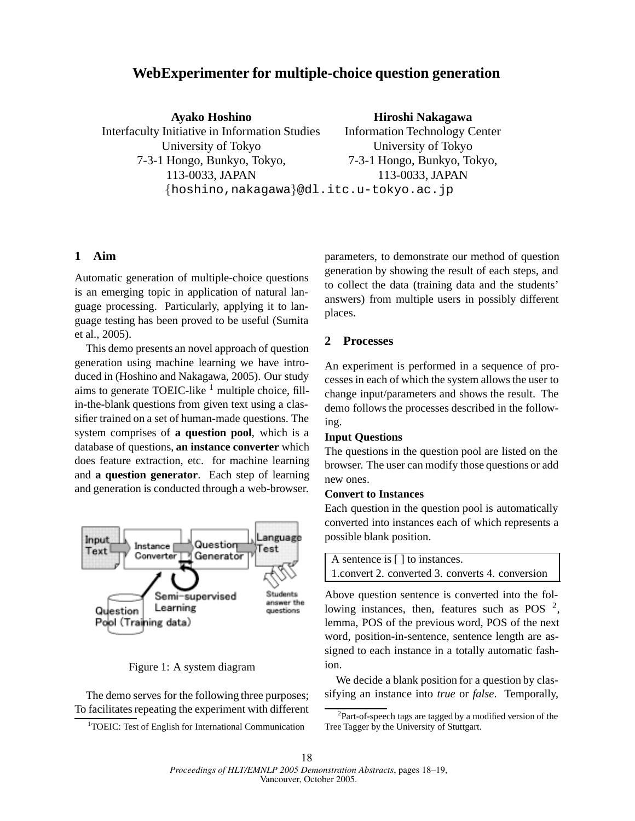# **WebExperimenter for multiple-choice question generation**

**Ayako Hoshino** Interfaculty Initiative in Information Studies University of Tokyo 7-3-1 Hongo, Bunkyo, Tokyo, 113-0033, JAPAN hoshino,nakagawa@dl.itc.u-tokyo.ac.jp

#### **Hiroshi Nakagawa**

Information Technology Center University of Tokyo 7-3-1 Hongo, Bunkyo, Tokyo, 113-0033, JAPAN

# **1 Aim**

Automatic generation of multiple-choice questions is an emerging topic in application of natural language processing. Particularly, applying it to language testing has been proved to be useful (Sumita et al., 2005).

This demo presents an novel approach of question generation using machine learning we have introduced in (Hoshino and Nakagawa, 2005). Our study aims to generate TOEIC-like  $<sup>1</sup>$  multiple choice, fill-</sup> in-the-blank questions from given text using a classifier trained on a set of human-made questions. The system comprises of **a question pool**, which is a database of questions, **an instance converter** which does feature extraction, etc. for machine learning and **a question generator**. Each step of learning and generation is conducted through a web-browser.



# Figure 1: A system diagram

The demo serves for the following three purposes; To facilitates repeating the experiment with different parameters, to demonstrate our method of question generation by showing the result of each steps, and to collect the data (training data and the students' answers) from multiple users in possibly different places.

# **2 Processes**

An experiment is performed in a sequence of processes in each of which the system allows the user to change input/parameters and shows the result. The demo follows the processes described in the following.

### **Input Questions**

The questions in the question pool are listed on the browser. The user can modify those questions or add new ones.

### **Convert to Instances**

Each question in the question pool is automatically converted into instances each of which represents a possible blank position.

| A sentence is [] to instances.                    |  |  |  |  |  |  |  |
|---------------------------------------------------|--|--|--|--|--|--|--|
| 1. convert 2. converted 3. converts 4. conversion |  |  |  |  |  |  |  |

Above question sentence is converted into the following instances, then, features such as POS  $^2$ , lemma, POS of the previous word, POS of the next word, position-in-sentence, sentence length are assigned to each instance in a totally automatic fashion.

We decide a blank position for a question by classifying an instance into *true* or *false*. Temporally,

<sup>&</sup>lt;sup>1</sup>TOEIC: Test of English for International Communication

 $2$ Part-of-speech tags are tagged by a modified version of the Tree Tagger by the University of Stuttgart.